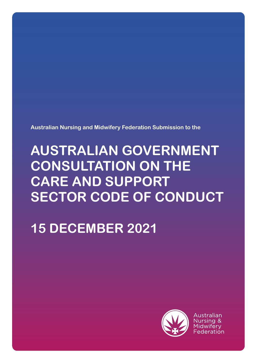**Australian Nursing and Midwifery Federation Submission to the** 

# **AUSTRALIAN GOVERNMENT CONSULTATION ON THE CARE AND SUPPORT SECTOR CODE OF CONDUCT**

**15 DECEMBER 2021**



Australian Nursing & Midwifery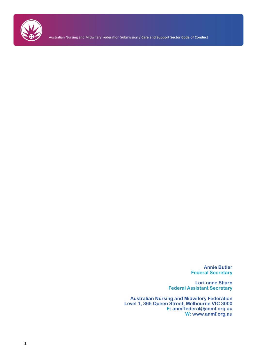

Australian Nursing and Midwifery Federation Submission / **Care and Support Sector Code of Conduct**

**Annie Butler Federal Secretary**

**Lori-anne Sharp Federal Assistant Secretary**

**Australian Nursing and Midwifery Federation Level 1, 365 Queen Street, Melbourne VIC 3000 E: anmffederal@anmf.org.au W: www.anmf.org.au**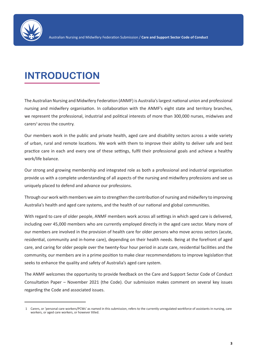

# **INTRODUCTION**

The Australian Nursing and Midwifery Federation (ANMF) is Australia's largest national union and professional nursing and midwifery organisation. In collaboration with the ANMF's eight state and territory branches, we represent the professional, industrial and political interests of more than 300,000 nurses, midwives and  $carers<sup>1</sup> across the country.$ 

Our members work in the public and private health, aged care and disability sectors across a wide variety of urban, rural and remote locations. We work with them to improve their ability to deliver safe and best practice care in each and every one of these settings, fulfil their professional goals and achieve a healthy work/life balance.

Our strong and growing membership and integrated role as both a professional and industrial organisation provide us with a complete understanding of all aspects of the nursing and midwifery professions and see us uniquely placed to defend and advance our professions.

Through our work with members we aim to strengthen the contribution of nursing and midwifery to improving Australia's health and aged care systems, and the health of our national and global communities.

With regard to care of older people, ANMF members work across all settings in which aged care is delivered, including over 45,000 members who are currently employed directly in the aged care sector. Many more of our members are involved in the provision of health care for older persons who move across sectors (acute, residential, community and in-home care), depending on their health needs. Being at the forefront of aged care, and caring for older people over the twenty-four hour period in acute care, residential facilities and the community, our members are in a prime position to make clear recommendations to improve legislation that seeks to enhance the quality and safety of Australia's aged care system.

The ANMF welcomes the opportunity to provide feedback on the Care and Support Sector Code of Conduct Consultation Paper – November 2021 (the Code). Our submission makes comment on several key issues regarding the Code and associated issues.

<sup>1</sup> Carers, or 'personal care workers/PCWs' as named in this submission, refers to the currently unregulated workforce of assistants in nursing, care workers, or aged care workers, or however titled.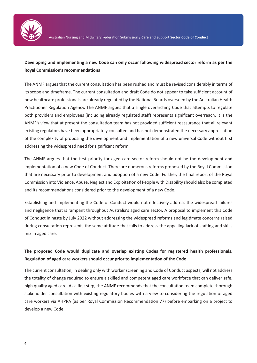

### **Developing and implementing a new Code can only occur following widespread sector reform as per the Royal Commission's recommendations**

The ANMF argues that the current consultation has been rushed and must be revised considerably in terms of its scope and timeframe. The current consultation and draft Code do not appear to take sufficient account of how healthcare professionals are already regulated by the National Boards overseen by the Australian Health Practitioner Regulation Agency. The ANMF argues that a single overarching Code that attempts to regulate both providers and employees (including already regulated staff) represents significant overreach. It is the ANMF's view that at present the consultation team has not provided sufficient reassurance that all relevant existing regulators have been appropriately consulted and has not demonstrated the necessary appreciation of the complexity of proposing the development and implementation of a new universal Code without first addressing the widespread need for significant reform.

The ANMF argues that the first priority for aged care sector reform should not be the development and implementation of a new Code of Conduct. There are numerous reforms proposed by the Royal Commission that are necessary prior to development and adoption of a new Code. Further, the final report of the Royal Commission into Violence, Abuse, Neglect and Exploitation of People with Disability should also be completed and its recommendations considered prior to the development of a new Code.

Establishing and implementing the Code of Conduct would not effectively address the widespread failures and negligence that is rampant throughout Australia's aged care sector. A proposal to implement this Code of Conduct in haste by July 2022 without addressing the widespread reforms and legitimate concerns raised during consultation represents the same attitude that fails to address the appalling lack of staffing and skills mix in aged care.

### **The proposed Code would duplicate and overlap existing Codes for registered health professionals. Regulation of aged care workers should occur prior to implementation of the Code**

The current consultation, in dealing only with worker screening and Code of Conduct aspects, will not address the totality of change required to ensure a skilled and competent aged care workforce that can deliver safe, high quality aged care. As a first step, the ANMF recommends that the consultation team complete thorough stakeholder consultation with existing regulatory bodies with a view to considering the regulation of aged care workers via AHPRA (as per Royal Commission Recommendation 77) before embarking on a project to develop a new Code.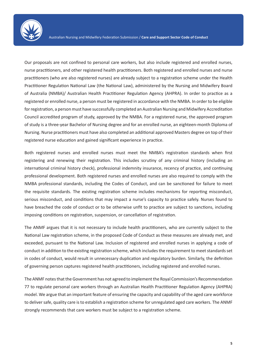

Our proposals are not confined to personal care workers, but also include registered and enrolled nurses, nurse practitioners, and other registered health practitioners. Both registered and enrolled nurses and nurse practitioners (who are also registered nurses) are already subject to a registration scheme under the Health Practitioner Regulation National Law (the National Law), administered by the Nursing and Midwifery Board of Australia (NMBA)/ Australian Health Practitioner Regulation Agency (AHPRA). In order to practice as a registered or enrolled nurse, a person must be registered in accordance with the NMBA. In order to be eligible for registration, a person must have successfully completed an Australian Nursing and Midwifery Accreditation Council accredited program of study, approved by the NMBA. For a registered nurse, the approved program of study is a three-year Bachelor of Nursing degree and for an enrolled nurse, an eighteen-month Diploma of Nursing. Nurse practitioners must have also completed an additional approved Masters degree on top of their registered nurse education and gained significant experience in practice.

Both registered nurses and enrolled nurses must meet the NMBA's registration standards when first registering and renewing their registration. This includes scrutiny of any criminal history (including an international criminal history check), professional indemnity insurance, recency of practice, and continuing professional development. Both registered nurses and enrolled nurses are also required to comply with the NMBA professional standards, including the Codes of Conduct, and can be sanctioned for failure to meet the requisite standards. The existing registration scheme includes mechanisms for reporting misconduct, serious misconduct, and conditions that may impact a nurse's capacity to practice safely. Nurses found to have breached the code of conduct or to be otherwise unfit to practice are subject to sanctions, including imposing conditions on registration, suspension, or cancellation of registration.

The ANMF argues that it is not necessary to include health practitioners, who are currently subject to the National Law registration scheme, in the proposed Code of Conduct as these measures are already met, and exceeded, pursuant to the National Law. Inclusion of registered and enrolled nurses in applying a code of conduct in addition to the existing registration scheme, which includes the requirement to meet standards set in codes of conduct, would result in unnecessary duplication and regulatory burden. Similarly, the definition of governing person captures registered health practitioners, including registered and enrolled nurses.

The ANMF notes that the Government has not agreed to implement the Royal Commission's Recommendation 77 to regulate personal care workers through an Australian Health Practitioner Regulation Agency (AHPRA) model. We argue that an important feature of ensuring the capacity and capability of the aged care workforce to deliver safe, quality care is to establish a registration scheme for unregulated aged care workers. The ANMF strongly recommends that care workers must be subject to a registration scheme.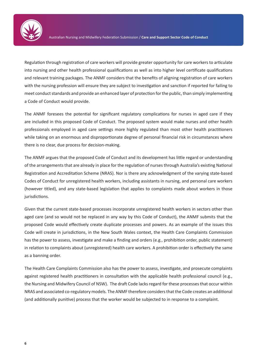

Regulation through registration of care workers will provide greater opportunity for care workers to articulate into nursing and other health professional qualifications as well as into higher level certificate qualifications and relevant training packages. The ANMF considers that the benefits of aligning registration of care workers with the nursing profession will ensure they are subject to investigation and sanction if reported for failing to meet conduct standards and provide an enhanced layer of protection for the public, than simply implementing a Code of Conduct would provide.

The ANMF foresees the potential for significant regulatory complications for nurses in aged care if they are included in this proposed Code of Conduct. The proposed system would make nurses and other health professionals employed in aged care settings more highly regulated than most other health practitioners while taking on an enormous and disproportionate degree of personal financial risk in circumstances where there is no clear, due process for decision-making.

The ANMF argues that the proposed Code of Conduct and its development has little regard or understanding of the arrangements that are already in place for the regulation of nurses through Australia's existing National Registration and Accreditation Scheme (NRAS). Nor is there any acknowledgment of the varying state-based Codes of Conduct for unregistered health workers, including assistants in nursing, and personal care workers (however titled), and any state-based legislation that applies to complaints made about workers in those jurisdictions.

Given that the current state-based processes incorporate unregistered health workers in sectors other than aged care (and so would not be replaced in any way by this Code of Conduct), the ANMF submits that the proposed Code would effectively create duplicate processes and powers. As an example of the issues this Code will create in jurisdictions, in the New South Wales context, the Health Care Complaints Commission has the power to assess, investigate and make a finding and orders (e.g., prohibition order, public statement) in relation to complaints about (unregistered) health care workers. A prohibition order is effectively the same as a banning order.

The Health Care Complaints Commission also has the power to assess, investigate, and prosecute complaints against registered health practitioners in consultation with the applicable health professional council (e.g., the Nursing and Midwifery Council of NSW). The draft Code lacks regard for these processes that occur within NRAS and associated co-regulatory models. The ANMF therefore considers that the Code creates an additional (and additionally punitive) process that the worker would be subjected to in response to a complaint.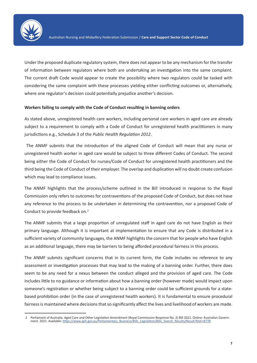

Under the proposed duplicate regulatory system, there does not appear to be any mechanism for the transfer of information between regulators where both are undertaking an investigation into the same complaint. The current draft Code would appear to create the possibility where two regulators could be tasked with considering the same complaint with these processes yielding either conflicting outcomes or, alternatively, where one regulator's decision could potentially prejudice another's decision.

#### **Workers failing to comply with the Code of Conduct resulting in banning orders**

As stated above, unregistered health care workers, including personal care workers in aged care are already subject to a requirement to comply with a Code of Conduct for unregistered health practitioners in many jurisdictions e.g., Schedule 3 of the *Public Health Regulation 2012*.

 The ANMF submits that the introduction of the aligned Code of Conduct will mean that any nurse or unregistered health worker in aged care would be subject to three different Codes of Conduct. The second being either the Code of Conduct for nurses/Code of Conduct for unregistered health practitioners and the third being the Code of Conduct of their employer. The overlap and duplication will no doubt create confusion which may lead to compliance issues.

The ANMF highlights that the process/scheme outlined in the Bill introduced in response to the Royal Commission only refers to outcomes for contraventions of the proposed Code of Conduct, but does not have any reference to the process to be undertaken in determining the contravention, nor a proposed Code of Conduct to provide feedback on.<sup>2</sup>

The ANMF submits that a large proportion of unregulated staff in aged care do not have English as their primary language. Although it is important at implementation to ensure that any Code is distributed in a sufficient variety of community languages, the ANMF highlights the concern that for people who have English as an additional language, there may be barriers to being afforded procedural fairness in this process.

The ANMF submits significant concerns that in its current form, the Code includes no reference to any assessment or investigation processes that may lead to the making of a banning order. Further, there does seem to be any need for a nexus between the conduct alleged and the provision of aged care. The Code includes little to no guidance or information about how a banning order (however made) would impact upon someone's registration or whether being subject to a banning order could be sufficient grounds for a statebased prohibition order (in the case of unregistered health workers). It is fundamental to ensure procedural fairness is maintained where decisions that so significantly affect the lives and livelihood of workers are made.

<sup>2</sup> Parliament of Australia. Aged Care and Other Legislation Amendment (Royal Commission Response No. 2) Bill 2021. Online: Australian Government. 2021. Available: https://www.aph.gov.au/Parliamentary\_Business/Bills\_Legislation/Bills\_Search\_Results/Result?bId=r6778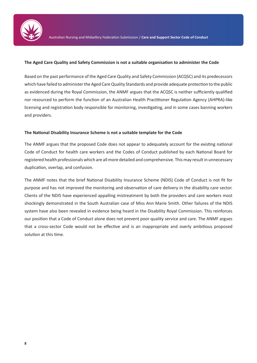

#### **The Aged Care Quality and Safety Commission is not a suitable organisation to administer the Code**

Based on the past performance of the Aged Care Quality and Safety Commission (ACQSC) and its predecessors which have failed to administer the Aged Care Quality Standards and provide adequate protection to the public as evidenced during the Royal Commission, the ANMF argues that the ACQSC is neither sufficiently qualified nor resourced to perform the function of an Australian Health Practitioner Regulation Agency (AHPRA)-like licensing and registration body responsible for monitoring, investigating, and in some cases banning workers and providers.

#### **The National Disability Insurance Scheme is not a suitable template for the Code**

The ANMF argues that the proposed Code does not appear to adequately account for the existing national Code of Conduct for health care workers and the Codes of Conduct published by each National Board for registered health professionals which are all more detailed and comprehensive. This may result in unnecessary duplication, overlap, and confusion.

The ANMF notes that the brief National Disability Insurance Scheme (NDIS) Code of Conduct is not fit for purpose and has not improved the monitoring and observation of care delivery in the disability care sector. Clients of the NDIS have experienced appalling mistreatment by both the providers and care workers most shockingly demonstrated in the South Australian case of Miss Ann Marie Smith. Other failures of the NDIS system have also been revealed in evidence being heard in the Disability Royal Commission. This reinforces our position that a Code of Conduct alone does not prevent poor quality service and care. The ANMF argues that a cross-sector Code would not be effective and is an inappropriate and overly ambitious proposed solution at this time.